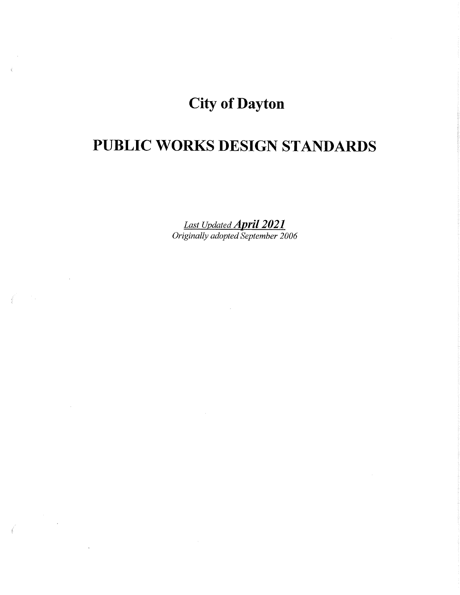# **City of Dayton**

# **PUBLIC WORKS DESIGN STANDARDS**

*Last Updated April 2021 Originally adopted September 2006* 

 $\sim 10^{-1}$ 

 $\sim 100$ 

 $\sim 10^{-1}$ 

 $\label{eq:2.1} \frac{1}{\sqrt{2}}\int_{\mathbb{R}^3}\frac{1}{\sqrt{2}}\left(\frac{1}{\sqrt{2}}\right)^2\frac{1}{\sqrt{2}}\left(\frac{1}{\sqrt{2}}\right)^2\frac{1}{\sqrt{2}}\left(\frac{1}{\sqrt{2}}\right)^2.$ 

 $\sim$ 

 $\vec{l}$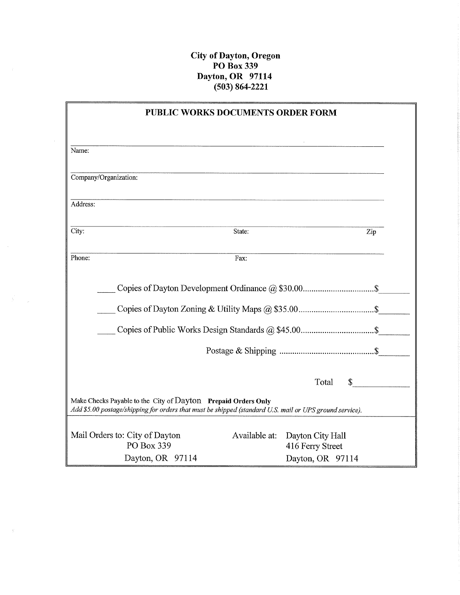#### **City of Dayton, Oregon PO Box339 Dayton, OR 97114 (503) 864-2221**

|                                                                                                                                                                          | PUBLIC WORKS DOCUMENTS ORDER FORM                                                                             |                                      |              |
|--------------------------------------------------------------------------------------------------------------------------------------------------------------------------|---------------------------------------------------------------------------------------------------------------|--------------------------------------|--------------|
|                                                                                                                                                                          |                                                                                                               |                                      |              |
| Name:                                                                                                                                                                    | <u> 1989 - Johann Barbara, martin da basar da basar da basar da basar da basar da basar da basar da basar</u> |                                      |              |
| Company/Organization:                                                                                                                                                    |                                                                                                               |                                      |              |
| Address:                                                                                                                                                                 |                                                                                                               |                                      |              |
| City:                                                                                                                                                                    | State:                                                                                                        |                                      | Zip          |
| Phone:                                                                                                                                                                   | Fax:                                                                                                          |                                      |              |
|                                                                                                                                                                          |                                                                                                               |                                      |              |
|                                                                                                                                                                          |                                                                                                               |                                      |              |
|                                                                                                                                                                          |                                                                                                               |                                      |              |
|                                                                                                                                                                          |                                                                                                               | Total                                | $\mathbb{S}$ |
| Make Checks Payable to the City of Dayton Prepaid Orders Only<br>Add \$5.00 postage/shipping for orders that must be shipped (standard U.S. mail or UPS ground service). |                                                                                                               |                                      |              |
| Mail Orders to: City of Dayton<br>PO Box 339                                                                                                                             | Available at:                                                                                                 | Dayton City Hall<br>416 Ferry Street |              |
| Dayton, OR 97114                                                                                                                                                         |                                                                                                               | Dayton, OR 97114                     |              |

 $\mathcal{L}$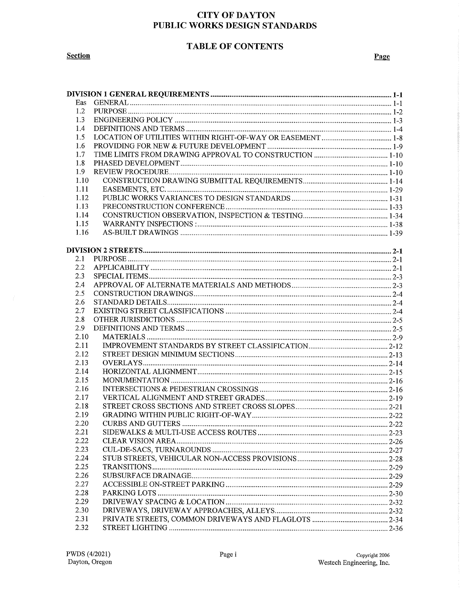# **TABLE OF CONTENTS**

**Section** 

|--|

| Eas  |  |
|------|--|
| 1.2  |  |
| 1.3  |  |
| 1.4  |  |
| 1.5  |  |
| 1.6  |  |
| 1.7  |  |
| 1.8  |  |
| 1.9  |  |
| 1.10 |  |
| 1.11 |  |
| 1.12 |  |
| 1.13 |  |
| 1.14 |  |
| 1.15 |  |
| 1.16 |  |
|      |  |
|      |  |
| 2.1  |  |
| 2.2  |  |
| 2.3  |  |
| 2.4  |  |
| 2.5  |  |
| 2.6  |  |
| 2.7  |  |
| 2.8  |  |
| 2.9  |  |
| 2.10 |  |
| 2.11 |  |
| 2.12 |  |
| 2.13 |  |
| 2.14 |  |
| 2.15 |  |
| 2.16 |  |
| 2.17 |  |
| 2.18 |  |
| 2.19 |  |
| 2.20 |  |
| 2.21 |  |
| 2.22 |  |
| 2.23 |  |
| 2.24 |  |
| 2.25 |  |
| 2.26 |  |
| 2.27 |  |
| 2.28 |  |
| 2.29 |  |
| 2.30 |  |
| 2.31 |  |
| 2.32 |  |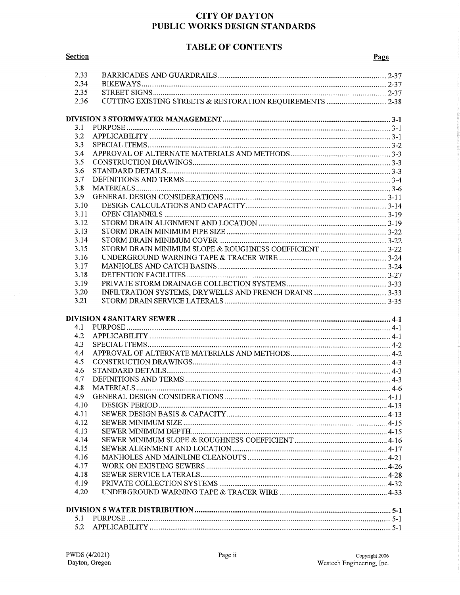# **TABLE OF CONTENTS**

 $\hat{\boldsymbol{\theta}}$ 

| 2.33 |  |
|------|--|
| 2.34 |  |
| 2.35 |  |
| 2.36 |  |
|      |  |
| 3.1  |  |
| 3.2  |  |
| 3.3  |  |
| 3.4  |  |
| 3.5  |  |
| 3.6  |  |
| 3.7  |  |
| 3.8  |  |
| 3.9  |  |
| 3.10 |  |
| 3.11 |  |
| 3.12 |  |
| 3.13 |  |
| 3.14 |  |
| 3.15 |  |
| 3.16 |  |
|      |  |
| 3.17 |  |
| 3.18 |  |
| 3.19 |  |
| 3.20 |  |
| 3.21 |  |
|      |  |
| 4.1  |  |
| 4.2  |  |
| 4.3  |  |
| 4.4  |  |
| 4.5  |  |
| 4.6  |  |
| 4.7  |  |
| 4.8  |  |
| 4.9  |  |
| 4.10 |  |
| 4.11 |  |
| 4.12 |  |
| 4.13 |  |
|      |  |
| 4.14 |  |
| 4.15 |  |
| 4.16 |  |
| 4.17 |  |
| 4.18 |  |
| 4.19 |  |
| 4.20 |  |
|      |  |
| 5.1  |  |
| 5.2  |  |
|      |  |

**Section**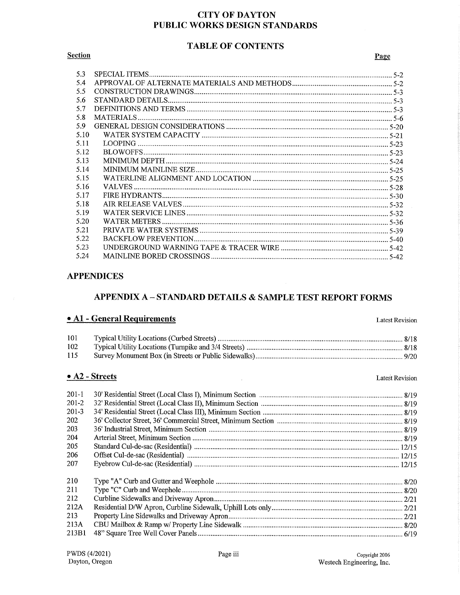#### **TABLE OF CONTENTS**

#### **Section**

#### Page

| 5.3  |  |
|------|--|
| 5.4  |  |
| 5.5  |  |
| 5.6  |  |
| 5.7  |  |
| 5.8  |  |
| 5.9  |  |
| 5.10 |  |
| 5.11 |  |
| 5.12 |  |
| 5.13 |  |
| 5.14 |  |
| 5.15 |  |
| 5.16 |  |
| 5.17 |  |
| 5.18 |  |
| 5.19 |  |
| 5.20 |  |
| 5.21 |  |
| 5.22 |  |
| 5.23 |  |
| 5.24 |  |

#### **APPENDICES**

# APPENDIX A - STANDARD DETAILS & SAMPLE TEST REPORT FORMS

#### • A1 - General Requirements

101 102 115

 $\bar{\mathcal{A}}$ 

#### $\bullet$  A2 - Streets

#### **Latest Revision**

**Latest Revision**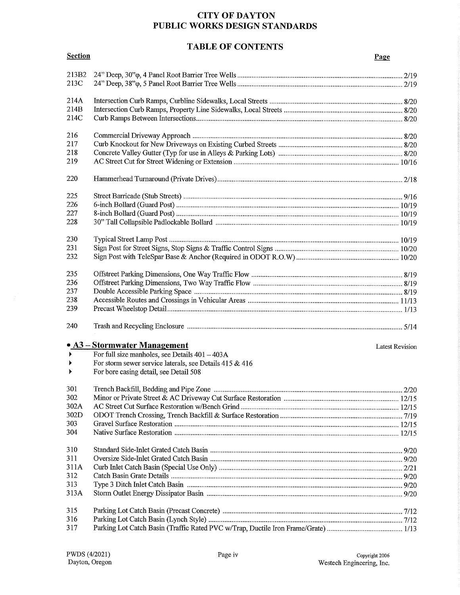# **TABLE OF CONTENTS**

| <b>Section</b>        |                                                         | Page                   |
|-----------------------|---------------------------------------------------------|------------------------|
| 213B2                 |                                                         |                        |
| 213C                  |                                                         |                        |
| 214A                  |                                                         |                        |
| 214B                  |                                                         |                        |
| 214C                  |                                                         |                        |
| 216                   |                                                         |                        |
| 217                   |                                                         |                        |
| 218                   |                                                         |                        |
| 219                   |                                                         |                        |
| 220                   |                                                         |                        |
| 225                   |                                                         |                        |
| 226                   |                                                         |                        |
| 227                   |                                                         |                        |
| 228                   |                                                         |                        |
| 230                   |                                                         |                        |
| 231                   |                                                         |                        |
| 232                   |                                                         |                        |
| 235                   |                                                         |                        |
| 236                   |                                                         |                        |
| 237                   |                                                         |                        |
| 238                   |                                                         |                        |
| 239                   |                                                         |                        |
| 240                   |                                                         |                        |
|                       | • A3 – Stormwater Management                            | <b>Latest Revision</b> |
| $\blacktriangleright$ | For full size manholes, see Details $401 - 403A$        |                        |
| $\blacktriangleright$ | For storm sewer service laterals, see Details 415 & 416 |                        |
| $\blacktriangleright$ | For bore casing detail, see Detail 508                  |                        |
| 301                   |                                                         |                        |
| 302                   |                                                         |                        |
| 302A                  |                                                         |                        |
| 302D                  |                                                         |                        |
| 303                   |                                                         |                        |
| 304                   |                                                         |                        |
| 310                   |                                                         |                        |
| 311                   |                                                         |                        |
| 311A                  |                                                         |                        |
| 312                   |                                                         |                        |
| 313                   |                                                         |                        |
| 313A                  |                                                         |                        |
| 315                   |                                                         |                        |
| 316                   |                                                         |                        |
| 317                   |                                                         |                        |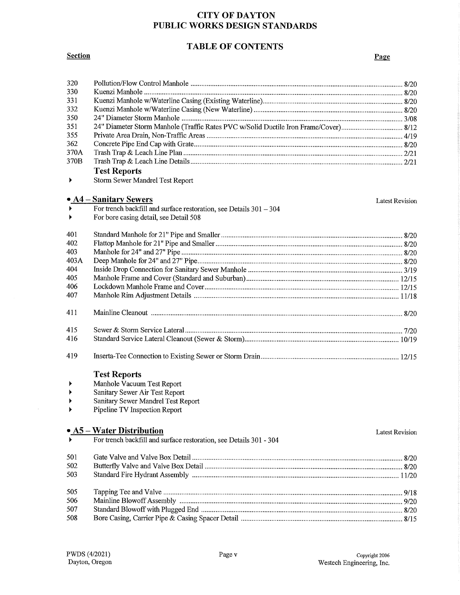# **TABLE OF CONTENTS**

### **Section**

#### Page

| 320                   |                                                                                      |                        |
|-----------------------|--------------------------------------------------------------------------------------|------------------------|
| 330                   |                                                                                      |                        |
| 331                   |                                                                                      |                        |
| 332                   |                                                                                      |                        |
| 350                   |                                                                                      |                        |
| 351                   | 24" Diameter Storm Manhole (Traffic Rates PVC w/Solid Ductile Iron Frame/Cover) 8/12 |                        |
| 355                   |                                                                                      |                        |
| 362                   |                                                                                      |                        |
| 370A                  |                                                                                      |                        |
| 370B                  |                                                                                      |                        |
|                       | <b>Test Reports</b>                                                                  |                        |
| ▶                     | Storm Sewer Mandrel Test Report                                                      |                        |
|                       | • A4 – Sanitary Sewers                                                               | <b>Latest Revision</b> |
| $\blacktriangleright$ | For trench backfill and surface restoration, see Details $301 - 304$                 |                        |
|                       | For bore casing detail, see Detail 508                                               |                        |
|                       |                                                                                      |                        |
| 401                   |                                                                                      |                        |
| 402                   |                                                                                      |                        |
| 403                   |                                                                                      |                        |
| 403A<br>404           |                                                                                      |                        |
| 405                   |                                                                                      |                        |
| 406                   |                                                                                      |                        |
| 407                   |                                                                                      |                        |
|                       |                                                                                      |                        |
| 411                   |                                                                                      |                        |
| 415                   |                                                                                      |                        |
| 416                   |                                                                                      |                        |
| 419                   |                                                                                      |                        |
|                       | <b>Test Reports</b>                                                                  |                        |
| ▶                     | Manhole Vacuum Test Report                                                           |                        |
| ▶                     | Sanitary Sewer Air Test Report                                                       |                        |
|                       | Sanitary Sewer Mandrel Test Report                                                   |                        |
|                       | Pipeline TV Inspection Report                                                        |                        |
|                       | • A5 – Water Distribution                                                            |                        |
|                       | For trench backfill and surface restoration, see Details 301 - 304                   | <b>Latest Revision</b> |
|                       |                                                                                      |                        |
| 501                   |                                                                                      |                        |
| 502                   |                                                                                      |                        |
| 503                   |                                                                                      |                        |
| 505                   |                                                                                      |                        |
| 506                   |                                                                                      |                        |
| 507                   |                                                                                      |                        |
| 508                   |                                                                                      |                        |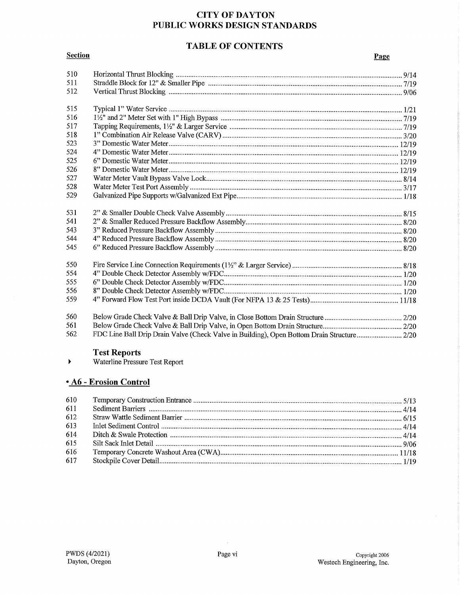# **TABLE OF CONTENTS**

#### **Section**

#### Page

| 510 |                                                                                            |  |
|-----|--------------------------------------------------------------------------------------------|--|
| 511 |                                                                                            |  |
| 512 |                                                                                            |  |
| 515 |                                                                                            |  |
| 516 |                                                                                            |  |
| 517 |                                                                                            |  |
| 518 |                                                                                            |  |
| 523 |                                                                                            |  |
| 524 |                                                                                            |  |
| 525 |                                                                                            |  |
| 526 |                                                                                            |  |
| 527 |                                                                                            |  |
| 528 |                                                                                            |  |
| 529 |                                                                                            |  |
| 531 |                                                                                            |  |
| 541 |                                                                                            |  |
| 543 |                                                                                            |  |
| 544 |                                                                                            |  |
| 545 |                                                                                            |  |
| 550 |                                                                                            |  |
| 554 |                                                                                            |  |
| 555 |                                                                                            |  |
| 556 |                                                                                            |  |
| 559 |                                                                                            |  |
| 560 |                                                                                            |  |
| 561 |                                                                                            |  |
| 562 | FDC Line Ball Drip Drain Valve (Check Valve in Building), Open Bottom Drain Structure 2/20 |  |

Test Reports<br>Waterline Pressure Test Report  $\blacktriangleright$ 

# . A6 - Erosion Control

| 610 |  |
|-----|--|
| 611 |  |
| 612 |  |
| 613 |  |
| 614 |  |
| 615 |  |
| 616 |  |
| 617 |  |
|     |  |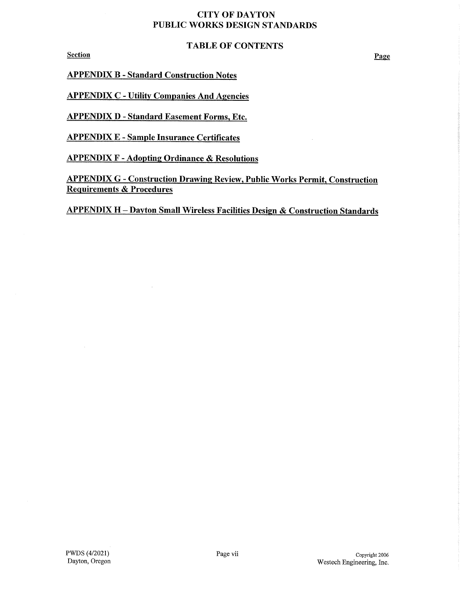#### TABLE OF CONTENTS

Section

APPENDIX B- Standard Construction Notes

APPENDIX C - Utility Companies And Agencies

APPENDIX D - Standard Easement Forms, Etc.

APPENDIX E - Sample Insurance Certificates

APPENDIX F - Adopting Ordinance & Resolutions

APPENDIX G - Construction Drawing Review, Public Works Permit, Construction Requirements & Procedures

APPENDIX H - Dayton Small Wireless Facilities Design & Construction Standards

Page